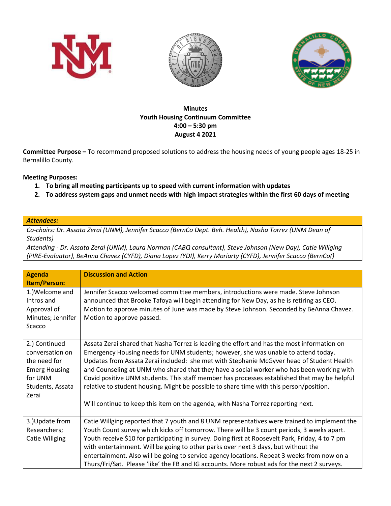





## **Minutes Youth Housing Continuum Committee 4:00 – 5:30 pm August 4 2021**

**Committee Purpose –** To recommend proposed solutions to address the housing needs of young people ages 18-25 in Bernalillo County.

## **Meeting Purposes:**

- **1. To bring all meeting participants up to speed with current information with updates**
- **2. To address system gaps and unmet needs with high impact strategies within the first 60 days of meeting**

## *Attendees:*

*Co-chairs: Dr. Assata Zerai (UNM), Jennifer Scacco (BernCo Dept. Beh. Health), Nasha Torrez (UNM Dean of Students)* 

*Attending - Dr. Assata Zerai (UNM), Laura Norman (CABQ consultant), Steve Johnson (New Day), Catie Willging (PIRE-Evaluator), BeAnna Chavez (CYFD), Diana Lopez (YDI), Kerry Moriarty (CYFD), Jennifer Scacco (BernCo()*

| <b>Agenda</b><br>Item/Person:                                                                                    | <b>Discussion and Action</b>                                                                                                                                                                                                                                                                                                                                                                                                                                                                                                                                                                                                                               |
|------------------------------------------------------------------------------------------------------------------|------------------------------------------------------------------------------------------------------------------------------------------------------------------------------------------------------------------------------------------------------------------------------------------------------------------------------------------------------------------------------------------------------------------------------------------------------------------------------------------------------------------------------------------------------------------------------------------------------------------------------------------------------------|
| 1.) Welcome and<br>Intros and<br>Approval of<br>Minutes; Jennifer<br>Scacco                                      | Jennifer Scacco welcomed committee members, introductions were made. Steve Johnson<br>announced that Brooke Tafoya will begin attending for New Day, as he is retiring as CEO.<br>Motion to approve minutes of June was made by Steve Johnson. Seconded by BeAnna Chavez.<br>Motion to approve passed.                                                                                                                                                                                                                                                                                                                                                     |
| 2.) Continued<br>conversation on<br>the need for<br><b>Emerg Housing</b><br>for UNM<br>Students, Assata<br>Zerai | Assata Zerai shared that Nasha Torrez is leading the effort and has the most information on<br>Emergency Housing needs for UNM students; however, she was unable to attend today.<br>Updates from Assata Zerai included: she met with Stephanie McGyver head of Student Health<br>and Counseling at UNM who shared that they have a social worker who has been working with<br>Covid positive UNM students. This staff member has processes established that may be helpful<br>relative to student housing. Might be possible to share time with this person/position.<br>Will continue to keep this item on the agenda, with Nasha Torrez reporting next. |
| 3.) Update from<br>Researchers;<br><b>Catie Willging</b>                                                         | Catie Willging reported that 7 youth and 8 UNM representatives were trained to implement the<br>Youth Count survey which kicks off tomorrow. There will be 3 count periods, 3 weeks apart.<br>Youth receive \$10 for participating in survey. Doing first at Roosevelt Park, Friday, 4 to 7 pm<br>with entertainment. Will be going to other parks over next 3 days, but without the<br>entertainment. Also will be going to service agency locations. Repeat 3 weeks from now on a<br>Thurs/Fri/Sat. Please 'like' the FB and IG accounts. More robust ads for the next 2 surveys.                                                                        |